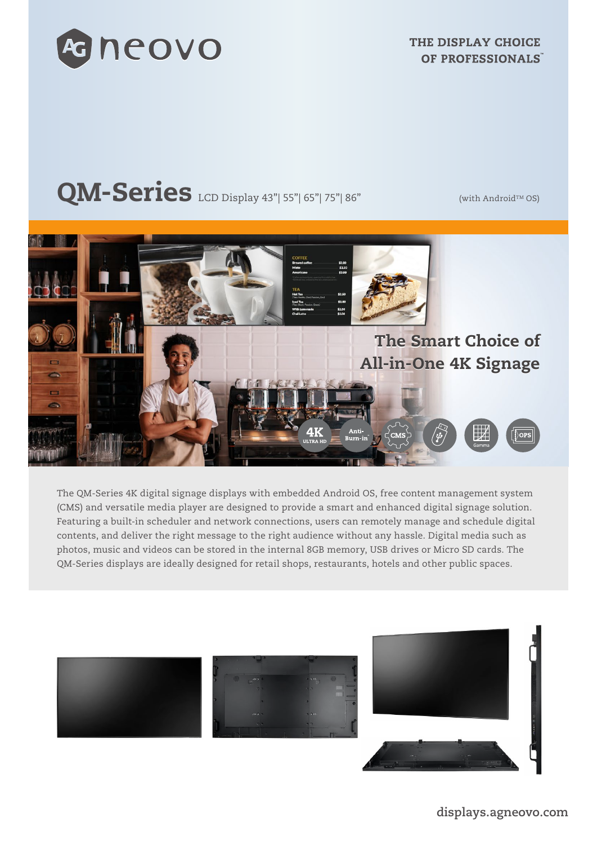

THE DISPLAY CHOICE OF PROFESSIONALS

# $QM-Series$  LCD Display 43"| 55"| 65"| 75"| 86" (with Android<sup>TM</sup> OS)



The QM-Series 4K digital signage displays with embedded Android OS, free content management system (CMS) and versatile media player are designed to provide a smart and enhanced digital signage solution. Featuring a built-in scheduler and network connections, users can remotely manage and schedule digital contents, and deliver the right message to the right audience without any hassle. Digital media such as photos, music and videos can be stored in the internal 8GB memory, USB drives or Micro SD cards. The QM-Series displays are ideally designed for retail shops, restaurants, hotels and other public spaces.

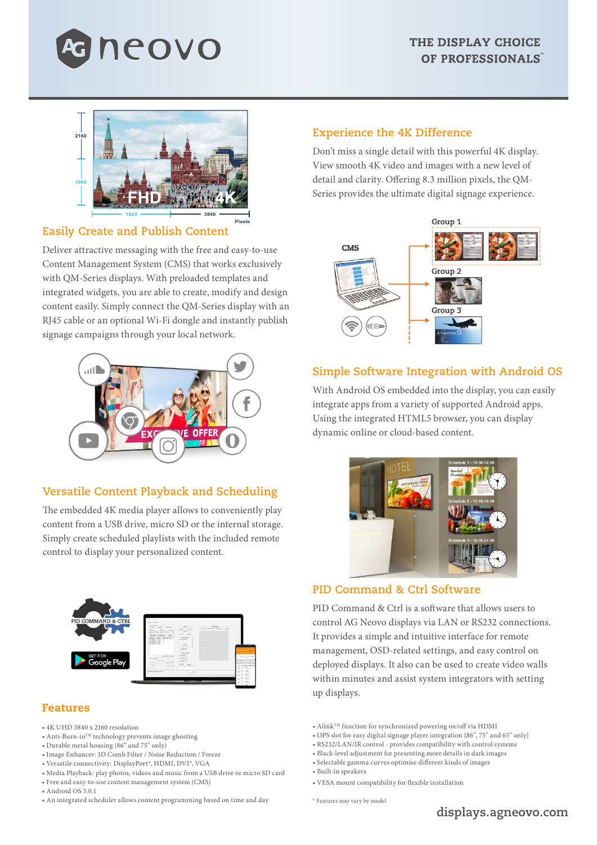



# **Easily Create and Publish Content**

Deliver attractive messaging with the free and easy-to-use Content Management System (CMS) that works exclusively with QM-Series displays. With preloaded templates and integrated widgets, you are able to create, modify and design content easily. Simply connect the QM-Series display with an RJ45 cable or an optional Wi-Fi dongle and instantly publish signage campaigns through your local network.



# **Versatile Content Playback and Scheduling**

The embedded 4K media player allows to conveniently play content from a USB drive, micro SD or the internal storage. Simply create scheduled playlists with the included remote control to display your personalized content.



### Features

- 4K UHD 3840 x 2160 resolution
- $\bullet$  Anti-Burn-in<br>TM technology prevents image ghosting
- Durable metal housing (86" and 75" only)
- Image Enhancer: 3D Comb Filter / Noise Reduction / Freeze
- Versatile connectivity: DisplayPort\*, HDMI, DVI\*, VGA
- Media Playback: play photos, videos and music from a USB drive or micro SD card • Free and easy-to-use content management system (CMS)
- Android OS 5.0.1
- An integrated scheduler allows content programming based on time and day

#### **Experience the 4K Difference**

Don't miss a single detail with this powerful 4K display. View smooth 4K video and images with a new level of detail and clarity. Offering 8.3 million pixels, the QM-Series provides the ultimate digital signage experience.



### **Simple Software Integration with Android OS**

With Android OS embedded into the display, you can easily integrate apps from a variety of supported Android apps. Using the integrated HTML5 browser, you can display dynamic online or cloud-based content.



## **PID Command & Ctrl Software**

PID Command & Ctrl is a software that allows users to control AG Neovo displays via LAN or RS232 connections. It provides a simple and intuitive interface for remote management, OSD-related settings, and easy control on deployed displays. It also can be used to create video walls within minutes and assist system integrators with setting up displays.

- AlinkTM function for synchronized powering on/off via HDMI
- OPS slot for easy digital signage player integration (86", 75" and 65" only)
- RS232/LAN/IR control provides compatibility with control systems
- Black-level adjustment for presenting more details in dark images
- Selectable gamma curves optimise different kinds of images
- Built-in speakers
- VESA mount compatibility for flexible installation

\* Features may vary by model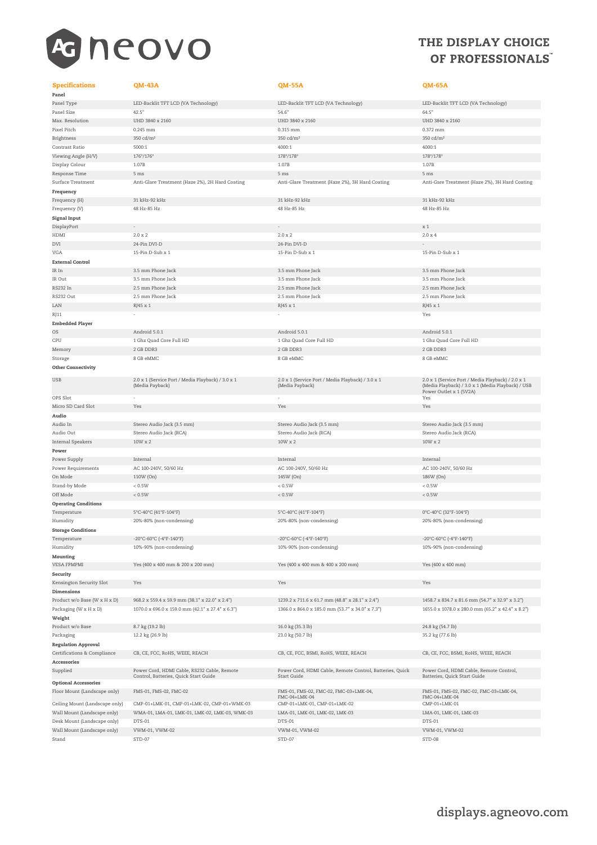

# THE DISPLAY CHOICE OF PROFESSIONALS

#### Specifications QM-43A QM-55A QM-65A Panel

Kensington Security Slot Yes Yes Yes Dimensions Weight Regulation Approval Accessories Audio Power Operating Conditions Storage Conditions Mounting Security Frequency Signal Input External Control Embedded Player Other Connectivity

USB 2.0 x 1 (Service Port / Media Playback) / 3.0 x 1 (Media Payback)

Supplied Power Cord, HDMI Cable, RS232 Cable, Remote ntrol, Batteries, Quick Start (

Floor Mount (Landscape only) FMS-01, FMS-02, FMC-02 FMS-01, FMS-02, FMC-02, FMC-03+LMK-04,

Ceiling Mount (Landscape only) CMP-01+LMK-01, CMP-01+LMK-02, CMP-01+WMK-03 Stand STD-07 STD-07 STD-08 STD-07 STD-08 STD-08 STD-08 STD-08 STD-08 STD-08 STD-08 STD-08 STD-08

Optional Accessories

Panel Type LED-Backlit TFT LCD (VA Technology) LED-Backlit TFT LCD (VA Technology) LED-Backlit TFT LCD (VA Technology) Panel Size 64.5" (1990) 42.5" (1991) 42.5" (1991) 54.6" (1991) 54.6" (1991) 54.6" (1991) 54.6" (1991) 54.6" (1 Max. Resolution UHD 3840 x 2160 UHD 3840 x 2160 UHD 3840 x 2160 Pixel Pitch 0.245 mm 0.315 mm 0.372 mm Brightness 350 cd/m² 350 cd/m² 350 cd/m² Contrast Ratio 5000:1 4000:1 4000:1 Viewing Angle (H/V) 176°/176° 178°/178° 178°/178° Display Colour 1.07B 1.07B 1.07B Response Time 5 ms 5 ms 5 ms Surface Treatment Anti-Glare Treatment (Haze 2%), 2H Hard Coating Anti-Glare Treatment (Haze 2%), 3H Hard Coating Anti-Gare Treatment (Haze 2%), 3H Hard Coating Frequency (H) 31 kHz-92 kHz 31 kHz-92 kHz 31 kHz-92 kHz Frequency (V) 48 Hz-85 Hz 48 Hz-85 Hz 48 Hz-85 Hz DisplayPort - - x 1  $HDMI$  2.0 x 2 2.0 x 2 2.0 x 4 2.0 x 4 2.0 x 2 2.0 x 4 2.0 x 4 2.0 x 4 2.0 x 4 DVI 24-Pin DVI-D 24-Pin DVI-D - VGA 15-Pin D-Sub x 1 15-Pin D-Sub x 1 15-Pin D-Sub x 1 15-Pin D-Sub x 1 15-Pin D-Sub x 1 IR In 3.5 mm Phone Jack 3.5 mm Phone Jack 3.5 mm Phone Jack IR Out 3.5 mm Phone Jack 3.5 mm Phone Jack 3.5 mm Phone Jack RS232 In 2.5 mm Phone Jack 2.5 mm Phone Jack 2.5 mm Phone Jack RS232 Out 2.5 mm Phone Jack 2.5 mm Phone Jack 2.5 mm Phone Jack LAN RJ45 x 1 RJ45 x 1 RJ45 x 1 RJ45 x 1 RJ45 x 1 RJ45 x 1 RJ45 x 1 RJ45 x 1 RJ45 x 1 RJ45 x 1 RJ11 - Yes - Yes - Yes - Yes - Yes - Yes - Yes - Yes - Yes - Yes - Yes - Yes - Yes - Yes - Yes - Yes OS Android 5.0.1 Android 5.0.1 Android 5.0.1 CPU 1 Ghz Quad Core Full HD 1 Ghz Quad Core Full HD 1 Ghz Quad Core Full HD Memory 2 GB DDR3 2 GB DDR3 2 GB DDR3 Storage 8 GB eMMC 8 GB eMMC 8 GB eMMC 8 GB eMMC 8 GB eMMC 8 GB eMMC 8 GB eMMC 8 GB eMMC 8 GB eMMC 8 GB eMMC 8 GB eMMC 2.0 x 1 (Service Port / Media Playback) / 3.0 x 1 (Media Payback) 2.0 x 1 (Service Port / Media Playback) / 2.0 x 1 (Media Playback) / 3.0 x 1 (Media Playback) / USB Power Outlet x 1 (5V2A) ops Slot the contract of the contract of the contract of the contract of the contract of the contract of the contract of the contract of the contract of the contract of the contract of the contract of the contract of the c Micro SD Card Slot Yes Yes Yes Audio In Stereo Audio Jack (3.5 mm) Stereo Audio Jack (3.5 mm) Stereo Audio Jack (3.5 mm) Audio Out Stereo Audio Jack (RCA) Stereo Audio Jack (RCA) Stereo Audio Jack (RCA)  $10W x 2$   $10W x 2$   $10W x 2$ Power Supply Internal Internal Internal Power Requirements AC 100-240V, 50/60 Hz<br>
AC 100-240V, 50/60 Hz<br>
20 On Mode 110W (On) 186W (On) 186W (On) On Mode 110W (On) 145W (On) 186W (On) Stand-by Mode < 0.5W < 0.5W < 0.5W Off Mode  $<$  0.5W  $<$  0.5W  $<$  0.5W  $<$  0.5W  $<$  0.5W  $<$  0.5W  $<$  0.5W  $<$  0.5W  $<$  0.5W  $<$  0.5W  $<$  0.5W  $<$  0.5W  $<$  0.5W  $<$  0.5W  $<$  0.5W  $<$  0.5W  $<$  0.5W  $<$  0.5W  $<$  0.5W  $<$  0.5W  $<$  0.5W  $<$  0.5W  $<$  0.5W  $<$  0. Temperature 5°C-40°C (41°F-104°F) 5°C-40°C (41°F-104°F) 0°C-40°C (32°F-104°F) Humidity 20%-80% (non-condensing) 20%-80% (non-condensing) 20%-80% (non-condensing) Temperature -20°C-60°C (-4°F-140°F) -20°C-60°C (-4°F-140°F) -20°C-60°C (-4°F-140°F) Humidity 10%-90% (non-condensing) 10%-90% (non-condensing) 10%-90% (non-condensing) VESA FPMPMI Yes (400 x 400 mm & 200 x 200 mm) Yes (400 x 400 mm & 400 x 200 mm) Yes (400 x 400 mm) Product w/o Base (W x H x D) 968.2 x 559.4 x 59.9 mm (38.1" x 22.0" x 2.4") 1239.2 x 711.6 x 61.7 mm (48.8" x 28.1" x 2.4") 1458.7 x 834.7 x 81.6 mm (54.7" x 32.9" x 3.2") Packaging (W x H x D) 1070.0 x 696.0 x 159.0 mm (42.1" x 27.4" x 6.3") 1366.0 x 864.0 x 185.0 mm (53.7" x 34.0" x 7.3") 1655.0 x 1078.0 x 280.0 mm (65.2" x 42.4" x 8.2") Product w/o Base 2.8 kg (19.2 lb) 16.0 kg (35.3 lb) 24.8 kg (54.7 lb) 24.8 kg (54.7 lb) Packaging 23.0 kg (26.9 lb) 23.0 kg (50.7 lb) 23.0 kg (50.7 lb) 35.2 kg (77.6 lb) Certifications & Compliance CB, CE, FCC, RoHS, WEEE, REACH CB, CE, FCC, BSMI, RoHS, WEEE, REACH CB, CE, FCC, BSMI, RoHS, WEEE, REACH Power Cord, HDMI Cable, Remote Control, Batteries, Quick Start Guide Power Cord, HDMI Cable, Remote Control, atteries, Quick Start Gu FMC-04+LMK-04 FMS-01, FMS-02, FMC-02, FMC-03+LMK-04, FMC-04+LMK-04 Wall Mount (Landscape only) WMA-01, LMA-01, LMK-01, LMK-02, LMK-03, WMK-03 LMA-01, LMK-01, LMK-02, LMK-03 LMA-01, LMK-01, LMK-03 Desk Mount (Landscape only) DTS-01 DTS-01 DTS-01 Wall Mount (Landscape only) VWM-01, VWM-02 VWM-01, VWM-02 VWM-01, VWM-02